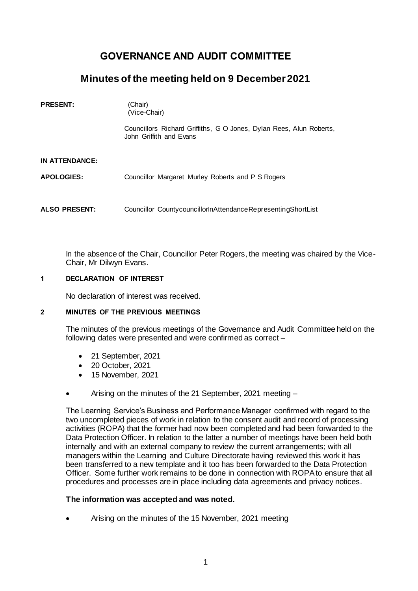# **GOVERNANCE AND AUDIT COMMITTEE**

## **Minutes of the meeting held on 9 December 2021**

| <b>PRESENT:</b>      | (Chair)<br>(Vice-Chair)                                                                        |
|----------------------|------------------------------------------------------------------------------------------------|
|                      | Councillors Richard Griffiths, G O Jones, Dylan Rees, Alun Roberts,<br>John Griffith and Evans |
| IN ATTENDANCE:       |                                                                                                |
| <b>APOLOGIES:</b>    | Councillor Margaret Murley Roberts and P S Rogers                                              |
| <b>ALSO PRESENT:</b> | Councillor CountycouncillorInAttendanceRepresentingShortList                                   |

In the absence of the Chair, Councillor Peter Rogers, the meeting was chaired by the Vice-Chair, Mr Dilwyn Evans.

#### **1 DECLARATION OF INTEREST**

No declaration of interest was received.

#### **2 MINUTES OF THE PREVIOUS MEETINGS**

The minutes of the previous meetings of the Governance and Audit Committee held on the following dates were presented and were confirmed as correct –

- 21 September, 2021
- 20 October, 2021
- 15 November, 2021
- Arising on the minutes of the 21 September, 2021 meeting –

The Learning Service's Business and Performance Manager confirmed with regard to the two uncompleted pieces of work in relation to the consent audit and record of processing activities (ROPA) that the former had now been completed and had been forwarded to the Data Protection Officer. In relation to the latter a number of meetings have been held both internally and with an external company to review the current arrangements; with all managers within the Learning and Culture Directorate having reviewed this work it has been transferred to a new template and it too has been forwarded to the Data Protection Officer. Some further work remains to be done in connection with ROPA to ensure that all procedures and processes are in place including data agreements and privacy notices.

#### **The information was accepted and was noted.**

Arising on the minutes of the 15 November, 2021 meeting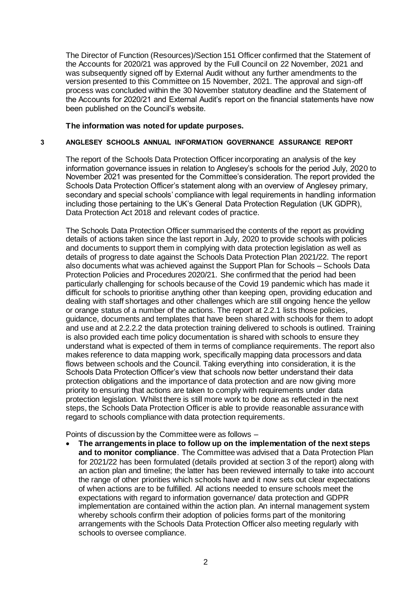The Director of Function (Resources)/Section 151 Officer confirmed that the Statement of the Accounts for 2020/21 was approved by the Full Council on 22 November, 2021 and was subsequently signed off by External Audit without any further amendments to the version presented to this Committee on 15 November, 2021. The approval and sign-off process was concluded within the 30 November statutory deadline and the Statement of the Accounts for 2020/21 and External Audit's report on the financial statements have now been published on the Council's website.

## **The information was noted for update purposes.**

## **3 ANGLESEY SCHOOLS ANNUAL INFORMATION GOVERNANCE ASSURANCE REPORT**

The report of the Schools Data Protection Officer incorporating an analysis of the key information governance issues in relation to Anglesey's schools for the period July, 2020 to November 2021 was presented for the Committee's consideration. The report provided the Schools Data Protection Officer's statement along with an overview of Anglesey primary, secondary and special schools' compliance with legal requirements in handling information including those pertaining to the UK's General Data Protection Regulation (UK GDPR), Data Protection Act 2018 and relevant codes of practice.

The Schools Data Protection Officer summarised the contents of the report as providing details of actions taken since the last report in July, 2020 to provide schools with policies and documents to support them in complying with data protection legislation as well as details of progress to date against the Schools Data Protection Plan 2021/22. The report also documents what was achieved against the Support Plan for Schools – Schools Data Protection Policies and Procedures 2020/21. She confirmed that the period had been particularly challenging for schools because of the Covid 19 pandemic which has made it difficult for schools to prioritise anything other than keeping open, providing education and dealing with staff shortages and other challenges which are still ongoing hence the yellow or orange status of a number of the actions. The report at 2.2.1 lists those policies, guidance, documents and templates that have been shared with schools for them to adopt and use and at 2.2.2.2 the data protection training delivered to schools is outlined. Training is also provided each time policy documentation is shared with schools to ensure they understand what is expected of them in terms of compliance requirements. The report also makes reference to data mapping work, specifically mapping data processors and data flows between schools and the Council. Taking everything into consideration, it is the Schools Data Protection Officer's view that schools now better understand their data protection obligations and the importance of data protection and are now giving more priority to ensuring that actions are taken to comply with requirements under data protection legislation. Whilst there is still more work to be done as reflected in the next steps, the Schools Data Protection Officer is able to provide reasonable assurance with regard to schools compliance with data protection requirements.

Points of discussion by the Committee were as follows –

 **The arrangements in place to follow up on the implementation of the next steps and to monitor compliance**. The Committee was advised that a Data Protection Plan for 2021/22 has been formulated (details provided at section 3 of the report) along with an action plan and timeline; the latter has been reviewed internally to take into account the range of other priorities which schools have and it now sets out clear expectations of when actions are to be fulfilled. All actions needed to ensure schools meet the expectations with regard to information governance/ data protection and GDPR implementation are contained within the action plan. An internal management system whereby schools confirm their adoption of policies forms part of the monitoring arrangements with the Schools Data Protection Officer also meeting regularly with schools to oversee compliance.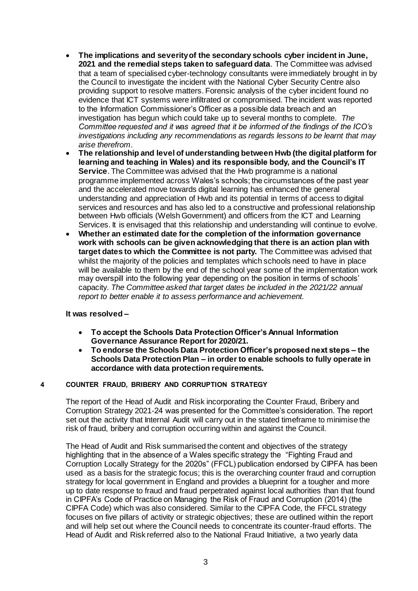- **The implications and severity of the secondary schools cyber incident in June, 2021 and the remedial steps taken to safeguard data**. The Committee was advised that a team of specialised cyber-technology consultants were immediately brought in by the Council to investigate the incident with the National Cyber Security Centre also providing support to resolve matters. Forensic analysis of the cyber incident found no evidence that ICT systems were infiltrated or compromised. The incident was reported to the Information Commissioner's Officer as a possible data breach and an investigation has begun which could take up to several months to complete. *The Committee requested and it was agreed that it be informed of the findings of the ICO's investigations including any recommendations as regards lessons to be learnt that may arise therefrom*.
- **The relationship and level of understanding between Hwb (the digital platform for learning and teaching in Wales) and its responsible body, and the Council's IT Service**. The Committee was advised that the Hwb programme is a national programme implemented across Wales's schools; the circumstances of the past year and the accelerated move towards digital learning has enhanced the general understanding and appreciation of Hwb and its potential in terms of access to digital services and resources and has also led to a constructive and professional relationship between Hwb officials (Welsh Government) and officers from the ICT and Learning Services. It is envisaged that this relationship and understanding will continue to evolve.
- **Whether an estimated date for the completion of the information governance work with schools can be given acknowledging that there is an action plan with target dates to which the Committee is not party.** The Committee was advised that whilst the majority of the policies and templates which schools need to have in place will be available to them by the end of the school year some of the implementation work may overspill into the following year depending on the position in terms of schools' capacity. *The Committee asked that target dates be included in the 2021/22 annual report to better enable it to assess performance and achievement.*

## **It was resolved –**

- **To accept the Schools Data Protection Officer's Annual Information Governance Assurance Report for 2020/21.**
- **To endorse the Schools Data Protection Officer's proposed next steps – the Schools Data Protection Plan – in order to enable schools to fully operate in accordance with data protection requirements.**

## **4 COUNTER FRAUD, BRIBERY AND CORRUPTION STRATEGY**

The report of the Head of Audit and Risk incorporating the Counter Fraud, Bribery and Corruption Strategy 2021-24 was presented for the Committee's consideration. The report set out the activity that Internal Audit will carry out in the stated timeframe to minimise the risk of fraud, bribery and corruption occurring within and against the Council.

The Head of Audit and Risk summarised the content and objectives of the strategy highlighting that in the absence of a Wales specific strategy the "Fighting Fraud and Corruption Locally Strategy for the 2020s" (FFCL) publication endorsed by CIPFA has been used as a basis for the strategic focus; this is the overarching counter fraud and corruption strategy for local government in England and provides a blueprint for a tougher and more up to date response to fraud and fraud perpetrated against local authorities than that found in CIPFA's Code of Practice on Managing the Risk of Fraud and Corruption (2014) (the CIPFA Code) which was also considered. Similar to the CIPFA Code, the FFCL strategy focuses on five pillars of activity or strategic objectives; these are outlined within the report and will help set out where the Council needs to concentrate its counter-fraud efforts. The Head of Audit and Risk referred also to the National Fraud Initiative, a two yearly data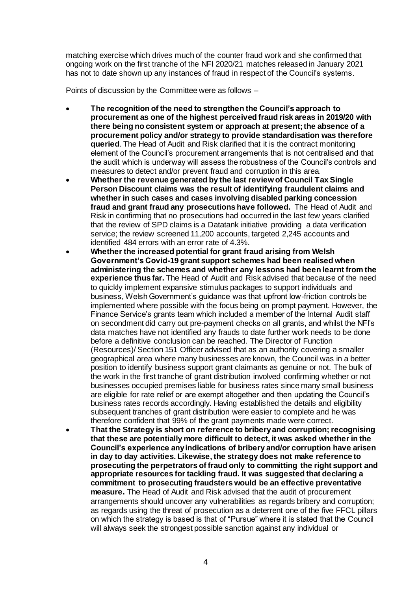matching exercise which drives much of the counter fraud work and she confirmed that ongoing work on the first tranche of the NFI 2020/21 matches released in January 2021 has not to date shown up any instances of fraud in respect of the Council's systems.

Points of discussion by the Committee were as follows –

- **The recognition of the need to strengthen the Council's approach to procurement as one of the highest perceived fraud risk areas in 2019/20 with there being no consistent system or approach at present; the absence of a procurement policy and/or strategy to provide standardisation was therefore queried**. The Head of Audit and Risk clarified that it is the contract monitoring element of the Council's procurement arrangements that is not centralised and that the audit which is underway will assess the robustness of the Council's controls and measures to detect and/or prevent fraud and corruption in this area.
- **Whether the revenue generated by the last review of Council Tax Single Person Discount claims was the result of identifying fraudulent claims and whether in such cases and cases involving disabled parking concession fraud and grant fraud any prosecutions have followed.** The Head of Audit and Risk in confirming that no prosecutions had occurred in the last few years clarified that the review of SPD claims is a Datatank initiative providing a data verification service; the review screened 11,200 accounts, targeted 2,245 accounts and identified 484 errors with an error rate of 4.3%.
- **Whether the increased potential for grant fraud arising from Welsh Government's Covid-19 grant support schemes had been realised when administering the schemes and whether any lessons had been learnt from the experience thus far.** The Head of Audit and Risk advised that because of the need to quickly implement expansive stimulus packages to support individuals and business, Welsh Government's guidance was that upfront low-friction controls be implemented where possible with the focus being on prompt payment. However, the Finance Service's grants team which included a member of the Internal Audit staff on secondment did carry out pre-payment checks on all grants, and whilst the NFI's data matches have not identified any frauds to date further work needs to be done before a definitive conclusion can be reached. The Director of Function (Resources)/ Section 151 Officer advised that as an authority covering a smaller geographical area where many businesses are known, the Council was in a better position to identify business support grant claimants as genuine or not. The bulk of the work in the first tranche of grant distribution involved confirming whether or not businesses occupied premises liable for business rates since many small business are eligible for rate relief or are exempt altogether and then updating the Council's business rates records accordingly. Having established the details and eligibility subsequent tranches of grant distribution were easier to complete and he was therefore confident that 99% of the grant payments made were correct.
- **That the Strategy is short on reference to bribery and corruption; recognising that these are potentially more difficult to detect, it was asked whether in the Council's experience any indications of bribery and/or corruption have arisen in day to day activities. Likewise, the strategy does not make reference to prosecuting the perpetrators of fraud only to committing the right support and appropriate resources for tackling fraud. It was suggested that declaring a commitment to prosecuting fraudsters would be an effective preventative measure.** The Head of Audit and Risk advised that the audit of procurement arrangements should uncover any vulnerabilities as regards bribery and corruption; as regards using the threat of prosecution as a deterrent one of the five FFCL pillars on which the strategy is based is that of "Pursue" where it is stated that the Council will always seek the strongest possible sanction against any individual or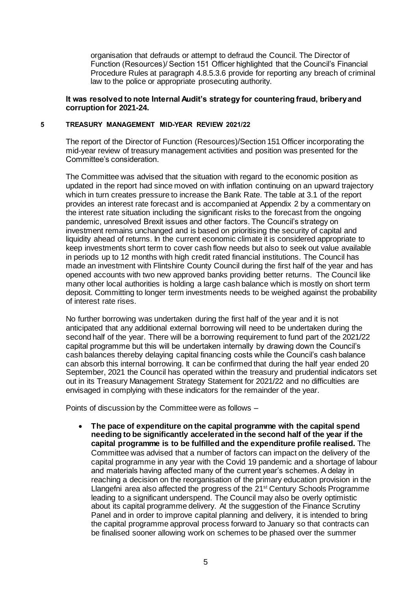organisation that defrauds or attempt to defraud the Council. The Director of Function (Resources)/ Section 151 Officer highlighted that the Council's Financial Procedure Rules at paragraph 4.8.5.3.6 provide for reporting any breach of criminal law to the police or appropriate prosecuting authority.

## **It was resolved to note Internal Audit's strategy for countering fraud, bribery and corruption for 2021-24.**

#### **5 TREASURY MANAGEMENT MID-YEAR REVIEW 2021/22**

The report of the Director of Function (Resources)/Section 151 Officer incorporating the mid-year review of treasury management activities and position was presented for the Committee's consideration.

The Committee was advised that the situation with regard to the economic position as updated in the report had since moved on with inflation continuing on an upward trajectory which in turn creates pressure to increase the Bank Rate. The table at 3.1 of the report provides an interest rate forecast and is accompanied at Appendix 2 by a commentary on the interest rate situation including the significant risks to the forecast from the ongoing pandemic, unresolved Brexit issues and other factors. The Council's strategy on investment remains unchanged and is based on prioritising the security of capital and liquidity ahead of returns. In the current economic climate it is considered appropriate to keep investments short term to cover cash flow needs but also to seek out value available in periods up to 12 months with high credit rated financial institutions. The Council has made an investment with Flintshire County Council during the first half of the year and has opened accounts with two new approved banks providing better returns. The Council like many other local authorities is holding a large cash balance which is mostly on short term deposit. Committing to longer term investments needs to be weighed against the probability of interest rate rises.

No further borrowing was undertaken during the first half of the year and it is not anticipated that any additional external borrowing will need to be undertaken during the second half of the year. There will be a borrowing requirement to fund part of the 2021/22 capital programme but this will be undertaken internally by drawing down the Council's cash balances thereby delaying capital financing costs while the Council's cash balance can absorb this internal borrowing. It can be confirmed that during the half year ended 20 September, 2021 the Council has operated within the treasury and prudential indicators set out in its Treasury Management Strategy Statement for 2021/22 and no difficulties are envisaged in complying with these indicators for the remainder of the year.

Points of discussion by the Committee were as follows –

 **The pace of expenditure on the capital programme with the capital spend needing to be significantly accelerated in the second half of the year if the capital programme is to be fulfilled and the expenditure profile realised.** The Committee was advised that a number of factors can impact on the delivery of the capital programme in any year with the Covid 19 pandemic and a shortage of labour and materials having affected many of the current year's schemes. A delay in reaching a decision on the reorganisation of the primary education provision in the Llangefni area also affected the progress of the 21<sup>st</sup> Century Schools Programme leading to a significant underspend. The Council may also be overly optimistic about its capital programme delivery. At the suggestion of the Finance Scrutiny Panel and in order to improve capital planning and delivery, it is intended to bring the capital programme approval process forward to January so that contracts can be finalised sooner allowing work on schemes to be phased over the summer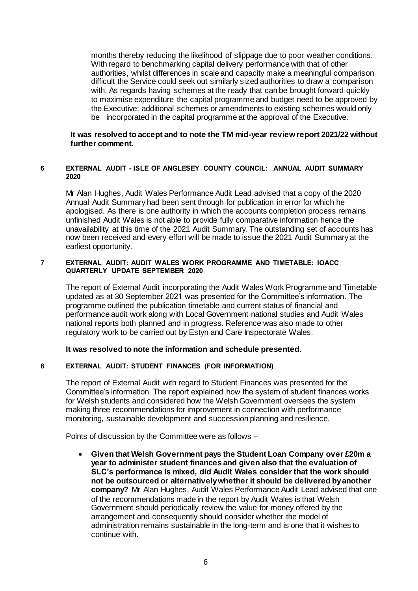months thereby reducing the likelihood of slippage due to poor weather conditions. With regard to benchmarking capital delivery performance with that of other authorities, whilst differences in scale and capacity make a meaningful comparison difficult the Service could seek out similarly sized authorities to draw a comparison with. As regards having schemes at the ready that can be brought forward quickly to maximise expenditure the capital programme and budget need to be approved by the Executive; additional schemes or amendments to existing schemes would only be incorporated in the capital programme at the approval of the Executive.

## **It was resolved to accept and to note the TM mid-year review report 2021/22 without further comment.**

## **6 EXTERNAL AUDIT - ISLE OF ANGLESEY COUNTY COUNCIL: ANNUAL AUDIT SUMMARY 2020**

Mr Alan Hughes, Audit Wales Performance Audit Lead advised that a copy of the 2020 Annual Audit Summary had been sent through for publication in error for which he apologised. As there is one authority in which the accounts completion process remains unfinished Audit Wales is not able to provide fully comparative information hence the unavailability at this time of the 2021 Audit Summary. The outstanding set of accounts has now been received and every effort will be made to issue the 2021 Audit Summary at the earliest opportunity.

#### **7 EXTERNAL AUDIT: AUDIT WALES WORK PROGRAMME AND TIMETABLE: IOACC QUARTERLY UPDATE SEPTEMBER 2020**

The report of External Audit incorporating the Audit Wales Work Programme and Timetable updated as at 30 September 2021 was presented for the Committee's information. The programme outlined the publication timetable and current status of financial and performance audit work along with Local Government national studies and Audit Wales national reports both planned and in progress. Reference was also made to other regulatory work to be carried out by Estyn and Care Inspectorate Wales.

## **It was resolved to note the information and schedule presented.**

#### **8 EXTERNAL AUDIT: STUDENT FINANCES (FOR INFORMATION)**

The report of External Audit with regard to Student Finances was presented for the Committee's information. The report explained how the system of student finances works for Welsh students and considered how the Welsh Government oversees the system making three recommendations for improvement in connection with performance monitoring, sustainable development and succession planning and resilience.

Points of discussion by the Committee were as follows –

 **Given that Welsh Government pays the Student Loan Company over £20m a year to administer student finances and given also that the evaluation of SLC's performance is mixed, did Audit Wales consider that the work should not be outsourced or alternatively whether it should be delivered by another company?** Mr Alan Hughes, Audit Wales Performance Audit Lead advised that one of the recommendations made in the report by Audit Wales is that Welsh Government should periodically review the value for money offered by the arrangement and consequently should consider whether the model of administration remains sustainable in the long-term and is one that it wishes to continue with.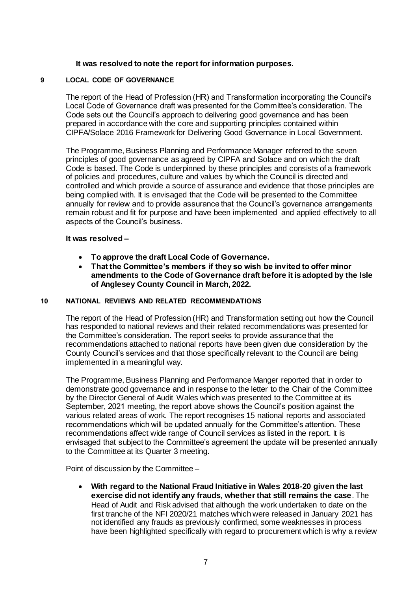## **It was resolved to note the report for information purposes.**

#### **9 LOCAL CODE OF GOVERNANCE**

The report of the Head of Profession (HR) and Transformation incorporating the Council's Local Code of Governance draft was presented for the Committee's consideration. The Code sets out the Council's approach to delivering good governance and has been prepared in accordance with the core and supporting principles contained within CIPFA/Solace 2016 Framework for Delivering Good Governance in Local Government.

The Programme, Business Planning and Performance Manager referred to the seven principles of good governance as agreed by CIPFA and Solace and on which the draft Code is based. The Code is underpinned by these principles and consists of a framework of policies and procedures, culture and values by which the Council is directed and controlled and which provide a source of assurance and evidence that those principles are being complied with. It is envisaged that the Code will be presented to the Committee annually for review and to provide assurance that the Council's governance arrangements remain robust and fit for purpose and have been implemented and applied effectively to all aspects of the Council's business.

#### **It was resolved –**

- **To approve the draft Local Code of Governance.**
- **That the Committee's members if they so wish be invited to offer minor amendments to the Code of Governance draft before it is adopted by the Isle of Anglesey County Council in March, 2022.**

### **10 NATIONAL REVIEWS AND RELATED RECOMMENDATIONS**

The report of the Head of Profession (HR) and Transformation setting out how the Council has responded to national reviews and their related recommendations was presented for the Committee's consideration. The report seeks to provide assurance that the recommendations attached to national reports have been given due consideration by the County Council's services and that those specifically relevant to the Council are being implemented in a meaningful way.

The Programme, Business Planning and Performance Manger reported that in order to demonstrate good governance and in response to the letter to the Chair of the Committee by the Director General of Audit Wales which was presented to the Committee at its September, 2021 meeting, the report above shows the Council's position against the various related areas of work. The report recognises 15 national reports and associated recommendations which will be updated annually for the Committee's attention. These recommendations affect wide range of Council services as listed in the report. It is envisaged that subject to the Committee's agreement the update will be presented annually to the Committee at its Quarter 3 meeting.

Point of discussion by the Committee –

 **With regard to the National Fraud Initiative in Wales 2018-20 given the last exercise did not identify any frauds, whether that still remains the case**. The Head of Audit and Risk advised that although the work undertaken to date on the first tranche of the NFI 2020/21 matches which were released in January 2021 has not identified any frauds as previously confirmed, some weaknesses in process have been highlighted specifically with regard to procurement which is why a review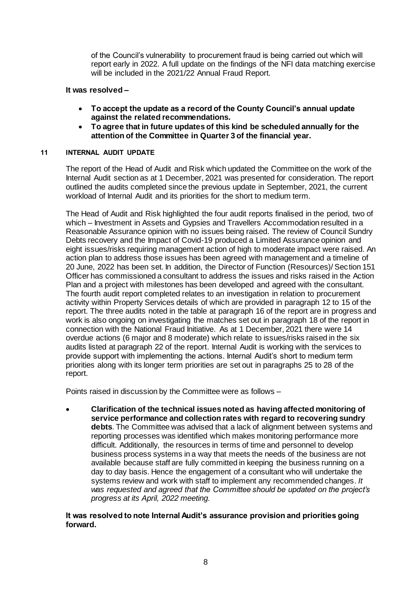of the Council's vulnerability to procurement fraud is being carried out which will report early in 2022. A full update on the findings of the NFI data matching exercise will be included in the 2021/22 Annual Fraud Report.

## **It was resolved –**

- **To accept the update as a record of the County Council's annual update against the related recommendations.**
- **To agree that in future updates of this kind be scheduled annually for the attention of the Committee in Quarter 3 of the financial year.**

## **11 INTERNAL AUDIT UPDATE**

The report of the Head of Audit and Risk which updated the Committee on the work of the Internal Audit section as at 1 December, 2021 was presented for consideration. The report outlined the audits completed since the previous update in September, 2021, the current workload of Internal Audit and its priorities for the short to medium term.

The Head of Audit and Risk highlighted the four audit reports finalised in the period, two of which – Investment in Assets and Gypsies and Travellers Accommodation resulted in a Reasonable Assurance opinion with no issues being raised. The review of Council Sundry Debts recovery and the Impact of Covid-19 produced a Limited Assurance opinion and eight issues/risks requiring management action of high to moderate impact were raised. An action plan to address those issues has been agreed with management and a timeline of 20 June, 2022 has been set. In addition, the Director of Function (Resources)/ Section 151 Officer has commissioned a consultant to address the issues and risks raised in the Action Plan and a project with milestones has been developed and agreed with the consultant. The fourth audit report completed relates to an investigation in relation to procurement activity within Property Services details of which are provided in paragraph 12 to 15 of the report. The three audits noted in the table at paragraph 16 of the report are in progress and work is also ongoing on investigating the matches set out in paragraph 18 of the report in connection with the National Fraud Initiative. As at 1 December, 2021 there were 14 overdue actions (6 major and 8 moderate) which relate to issues/risks raised in the six audits listed at paragraph 22 of the report. Internal Audit is working with the services to provide support with implementing the actions. Internal Audit's short to medium term priorities along with its longer term priorities are set out in paragraphs 25 to 28 of the report.

Points raised in discussion by the Committee were as follows –

 **Clarification of the technical issues noted as having affected monitoring of service performance and collection rates with regard to recovering sundry debts**. The Committee was advised that a lack of alignment between systems and reporting processes was identified which makes monitoring performance more difficult. Additionally, the resources in terms of time and personnel to develop business process systems in a way that meets the needs of the business are not available because staff are fully committed in keeping the business running on a day to day basis. Hence the engagement of a consultant who will undertake the systems review and work with staff to implement any recommended changes*. It was requested and agreed that the Committee should be updated on the project's progress at its April, 2022 meeting.*

## **It was resolved to note Internal Audit's assurance provision and priorities going forward.**